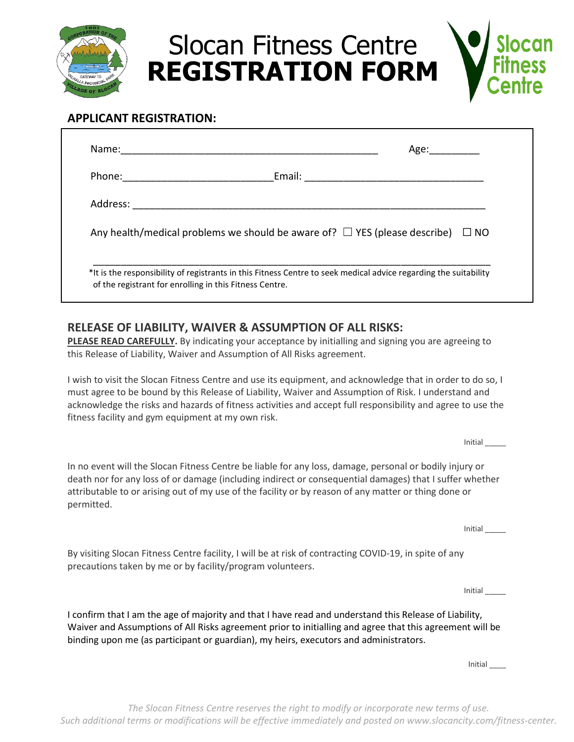

Slocan Fitness Centre **REGISTRATION FORM**



# **APPLICANT REGISTRATION:**

| Phone: _____________________ |                                                                                                 |  |
|------------------------------|-------------------------------------------------------------------------------------------------|--|
|                              |                                                                                                 |  |
|                              | Any health/medical problems we should be aware of? $\square$ YES (please describe) $\square$ NO |  |
|                              |                                                                                                 |  |

## **RELEASE OF LIABILITY, WAIVER & ASSUMPTION OF ALL RISKS:**

**PLEASE READ CAREFULLY.** By indicating your acceptance by initialling and signing you are agreeing to this Release of Liability, Waiver and Assumption of All Risks agreement.

I wish to visit the Slocan Fitness Centre and use its equipment, and acknowledge that in order to do so, I must agree to be bound by this Release of Liability, Waiver and Assumption of Risk. I understand and acknowledge the risks and hazards of fitness activities and accept full responsibility and agree to use the fitness facility and gym equipment at my own risk.

Initial \_\_\_\_\_

In no event will the Slocan Fitness Centre be liable for any loss, damage, personal or bodily injury or death nor for any loss of or damage (including indirect or consequential damages) that I suffer whether attributable to or arising out of my use of the facility or by reason of any matter or thing done or permitted.

Initial \_\_\_\_\_

By visiting Slocan Fitness Centre facility, I will be at risk of contracting COVID-19, in spite of any precautions taken by me or by facility/program volunteers.

Initial \_\_\_\_\_

I confirm that I am the age of majority and that I have read and understand this Release of Liability, Waiver and Assumptions of All Risks agreement prior to initialling and agree that this agreement will be binding upon me (as participant or guardian), my heirs, executors and administrators.

Initial \_\_\_\_